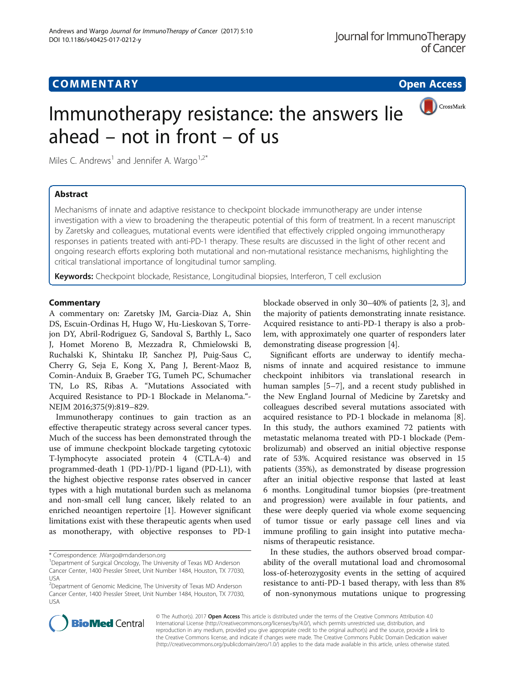## **COMMENTARY COMMENTARY Open Access**

CrossMark

# Immunotherapy resistance: the answers lie ahead – not in front – of us

Miles C. Andrews<sup>1</sup> and Jennifer A. Wargo<sup>1,2\*</sup>

## Abstract

Mechanisms of innate and adaptive resistance to checkpoint blockade immunotherapy are under intense investigation with a view to broadening the therapeutic potential of this form of treatment. In a recent manuscript by Zaretsky and colleagues, mutational events were identified that effectively crippled ongoing immunotherapy responses in patients treated with anti-PD-1 therapy. These results are discussed in the light of other recent and ongoing research efforts exploring both mutational and non-mutational resistance mechanisms, highlighting the critical translational importance of longitudinal tumor sampling.

Keywords: Checkpoint blockade, Resistance, Longitudinal biopsies, Interferon, T cell exclusion

### **Commentary**

A commentary on: Zaretsky JM, Garcia-Diaz A, Shin DS, Escuin-Ordinas H, Hugo W, Hu-Lieskovan S, Torrejon DY, Abril-Rodriguez G, Sandoval S, Barthly L, Saco J, Homet Moreno B, Mezzadra R, Chmielowski B, Ruchalski K, Shintaku IP, Sanchez PJ, Puig-Saus C, Cherry G, Seja E, Kong X, Pang J, Berent-Maoz B, Comin-Anduix B, Graeber TG, Tumeh PC, Schumacher TN, Lo RS, Ribas A. "Mutations Associated with Acquired Resistance to PD-1 Blockade in Melanoma."- NEJM 2016;375(9):819–829.

Immunotherapy continues to gain traction as an effective therapeutic strategy across several cancer types. Much of the success has been demonstrated through the use of immune checkpoint blockade targeting cytotoxic T-lymphocyte associated protein 4 (CTLA-4) and programmed-death 1 (PD-1)/PD-1 ligand (PD-L1), with the highest objective response rates observed in cancer types with a high mutational burden such as melanoma and non-small cell lung cancer, likely related to an enriched neoantigen repertoire [\[1](#page-2-0)]. However significant limitations exist with these therapeutic agents when used as monotherapy, with objective responses to PD-1

\* Correspondence: [JWargo@mdanderson.org](mailto:JWargo@mdanderson.org) <sup>1</sup>

blockade observed in only 30–40% of patients [\[2, 3](#page-2-0)], and the majority of patients demonstrating innate resistance. Acquired resistance to anti-PD-1 therapy is also a problem, with approximately one quarter of responders later demonstrating disease progression [[4\]](#page-2-0).

Significant efforts are underway to identify mechanisms of innate and acquired resistance to immune checkpoint inhibitors via translational research in human samples [\[5](#page-2-0)–[7](#page-2-0)], and a recent study published in the New England Journal of Medicine by Zaretsky and colleagues described several mutations associated with acquired resistance to PD-1 blockade in melanoma [\[8](#page-2-0)]. In this study, the authors examined 72 patients with metastatic melanoma treated with PD-1 blockade (Pembrolizumab) and observed an initial objective response rate of 53%. Acquired resistance was observed in 15 patients (35%), as demonstrated by disease progression after an initial objective response that lasted at least 6 months. Longitudinal tumor biopsies (pre-treatment and progression) were available in four patients, and these were deeply queried via whole exome sequencing of tumor tissue or early passage cell lines and via immune profiling to gain insight into putative mechanisms of therapeutic resistance.

In these studies, the authors observed broad comparability of the overall mutational load and chromosomal loss-of-heterozygosity events in the setting of acquired resistance to anti-PD-1 based therapy, with less than 8% of non-synonymous mutations unique to progressing



© The Author(s). 2017 **Open Access** This article is distributed under the terms of the Creative Commons Attribution 4.0 International License [\(http://creativecommons.org/licenses/by/4.0/](http://creativecommons.org/licenses/by/4.0/)), which permits unrestricted use, distribution, and reproduction in any medium, provided you give appropriate credit to the original author(s) and the source, provide a link to the Creative Commons license, and indicate if changes were made. The Creative Commons Public Domain Dedication waiver [\(http://creativecommons.org/publicdomain/zero/1.0/](http://creativecommons.org/publicdomain/zero/1.0/)) applies to the data made available in this article, unless otherwise stated.

<sup>&</sup>lt;sup>1</sup>Department of Surgical Oncology, The University of Texas MD Anderson Cancer Center, 1400 Pressler Street, Unit Number 1484, Houston, TX 77030, USA

<sup>&</sup>lt;sup>2</sup>Department of Genomic Medicine, The University of Texas MD Anderson Cancer Center, 1400 Pressler Street, Unit Number 1484, Houston, TX 77030, USA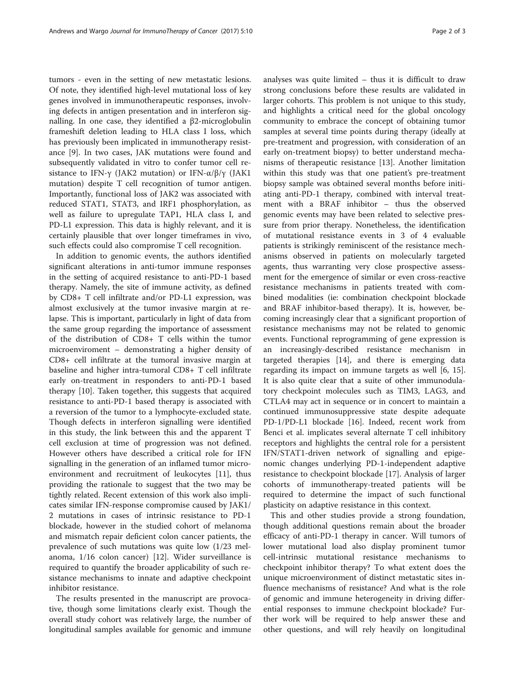tumors - even in the setting of new metastatic lesions. Of note, they identified high-level mutational loss of key genes involved in immunotherapeutic responses, involving defects in antigen presentation and in interferon signalling. In one case, they identified a β2-microglobulin frameshift deletion leading to HLA class I loss, which has previously been implicated in immunotherapy resistance [[9\]](#page-2-0). In two cases, JAK mutations were found and subsequently validated in vitro to confer tumor cell resistance to IFN-γ (JAK2 mutation) or IFN- $\alpha$ /β/γ (JAK1 mutation) despite T cell recognition of tumor antigen. Importantly, functional loss of JAK2 was associated with reduced STAT1, STAT3, and IRF1 phosphorylation, as well as failure to upregulate TAP1, HLA class I, and PD-L1 expression. This data is highly relevant, and it is certainly plausible that over longer timeframes in vivo, such effects could also compromise T cell recognition.

In addition to genomic events, the authors identified significant alterations in anti-tumor immune responses in the setting of acquired resistance to anti-PD-1 based therapy. Namely, the site of immune activity, as defined by CD8+ T cell infiltrate and/or PD-L1 expression, was almost exclusively at the tumor invasive margin at relapse. This is important, particularly in light of data from the same group regarding the importance of assessment of the distribution of CD8+ T cells within the tumor microenviroment – demonstrating a higher density of CD8+ cell infiltrate at the tumoral invasive margin at baseline and higher intra-tumoral CD8+ T cell infiltrate early on-treatment in responders to anti-PD-1 based therapy [[10\]](#page-2-0). Taken together, this suggests that acquired resistance to anti-PD-1 based therapy is associated with a reversion of the tumor to a lymphocyte-excluded state. Though defects in interferon signalling were identified in this study, the link between this and the apparent T cell exclusion at time of progression was not defined. However others have described a critical role for IFN signalling in the generation of an inflamed tumor microenvironment and recruitment of leukocytes [[11](#page-2-0)], thus providing the rationale to suggest that the two may be tightly related. Recent extension of this work also implicates similar IFN-response compromise caused by JAK1/ 2 mutations in cases of intrinsic resistance to PD-1 blockade, however in the studied cohort of melanoma and mismatch repair deficient colon cancer patients, the prevalence of such mutations was quite low (1/23 melanoma, 1/16 colon cancer) [\[12](#page-2-0)]. Wider surveillance is required to quantify the broader applicability of such resistance mechanisms to innate and adaptive checkpoint inhibitor resistance.

The results presented in the manuscript are provocative, though some limitations clearly exist. Though the overall study cohort was relatively large, the number of longitudinal samples available for genomic and immune analyses was quite limited – thus it is difficult to draw strong conclusions before these results are validated in larger cohorts. This problem is not unique to this study, and highlights a critical need for the global oncology community to embrace the concept of obtaining tumor samples at several time points during therapy (ideally at pre-treatment and progression, with consideration of an early on-treatment biopsy) to better understand mechanisms of therapeutic resistance [[13\]](#page-2-0). Another limitation within this study was that one patient's pre-treatment biopsy sample was obtained several months before initiating anti-PD-1 therapy, combined with interval treatment with a BRAF inhibitor – thus the observed genomic events may have been related to selective pressure from prior therapy. Nonetheless, the identification of mutational resistance events in 3 of 4 evaluable patients is strikingly reminiscent of the resistance mechanisms observed in patients on molecularly targeted agents, thus warranting very close prospective assessment for the emergence of similar or even cross-reactive resistance mechanisms in patients treated with combined modalities (ie: combination checkpoint blockade and BRAF inhibitor-based therapy). It is, however, becoming increasingly clear that a significant proportion of resistance mechanisms may not be related to genomic events. Functional reprogramming of gene expression is an increasingly-described resistance mechanism in targeted therapies [[14](#page-2-0)], and there is emerging data regarding its impact on immune targets as well [\[6](#page-2-0), [15](#page-2-0)]. It is also quite clear that a suite of other immunodulatory checkpoint molecules such as TIM3, LAG3, and CTLA4 may act in sequence or in concert to maintain a continued immunosuppressive state despite adequate PD-1/PD-L1 blockade [\[16\]](#page-2-0). Indeed, recent work from Benci et al. implicates several alternate T cell inhibitory receptors and highlights the central role for a persistent IFN/STAT1-driven network of signalling and epigenomic changes underlying PD-1-independent adaptive resistance to checkpoint blockade [\[17\]](#page-2-0). Analysis of larger cohorts of immunotherapy-treated patients will be required to determine the impact of such functional plasticity on adaptive resistance in this context.

This and other studies provide a strong foundation, though additional questions remain about the broader efficacy of anti-PD-1 therapy in cancer. Will tumors of lower mutational load also display prominent tumor cell-intrinsic mutational resistance mechanisms to checkpoint inhibitor therapy? To what extent does the unique microenvironment of distinct metastatic sites influence mechanisms of resistance? And what is the role of genomic and immune heterogeneity in driving differential responses to immune checkpoint blockade? Further work will be required to help answer these and other questions, and will rely heavily on longitudinal